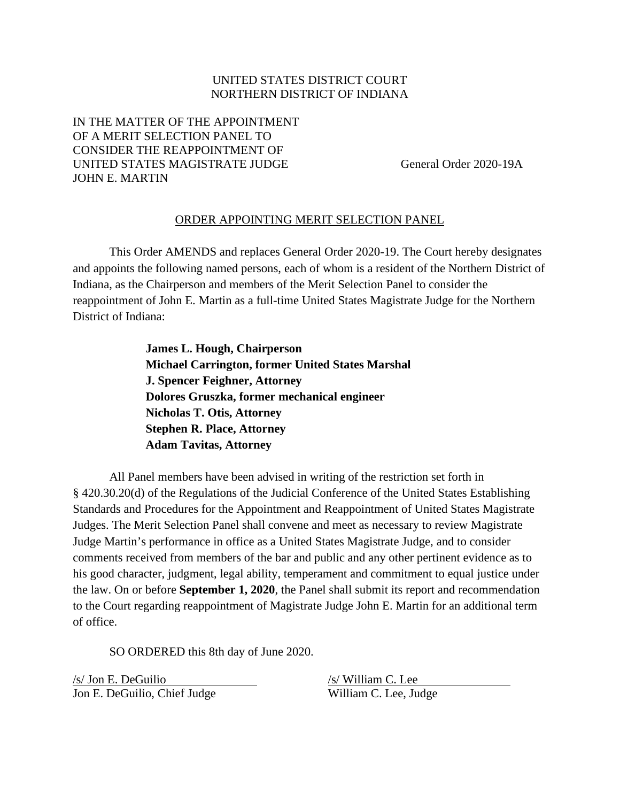## UNITED STATES DISTRICT COURT NORTHERN DISTRICT OF INDIANA

## IN THE MATTER OF THE APPOINTMENT OF A MERIT SELECTION PANEL TO CONSIDER THE REAPPOINTMENT OF UNITED STATES MAGISTRATE JUDGE General Order 2020-19A JOHN E. MARTIN

## ORDER APPOINTING MERIT SELECTION PANEL

This Order AMENDS and replaces General Order 2020-19. The Court hereby designates and appoints the following named persons, each of whom is a resident of the Northern District of Indiana, as the Chairperson and members of the Merit Selection Panel to consider the reappointment of John E. Martin as a full-time United States Magistrate Judge for the Northern District of Indiana:

> **James L. Hough, Chairperson Michael Carrington, former United States Marshal J. Spencer Feighner, Attorney Dolores Gruszka, former mechanical engineer Nicholas T. Otis, Attorney Stephen R. Place, Attorney Adam Tavitas, Attorney**

All Panel members have been advised in writing of the restriction set forth in § 420.30.20(d) of the Regulations of the Judicial Conference of the United States Establishing Standards and Procedures for the Appointment and Reappointment of United States Magistrate Judges. The Merit Selection Panel shall convene and meet as necessary to review Magistrate Judge Martin's performance in office as a United States Magistrate Judge, and to consider comments received from members of the bar and public and any other pertinent evidence as to his good character, judgment, legal ability, temperament and commitment to equal justice under the law. On or before **September 1, 2020**, the Panel shall submit its report and recommendation to the Court regarding reappointment of Magistrate Judge John E. Martin for an additional term of office.

SO ORDERED this 8th day of June 2020.

/s/ Jon E. DeGuilio /s/ William C. Lee Jon E. DeGuilio, Chief Judge William C. Lee, Judge